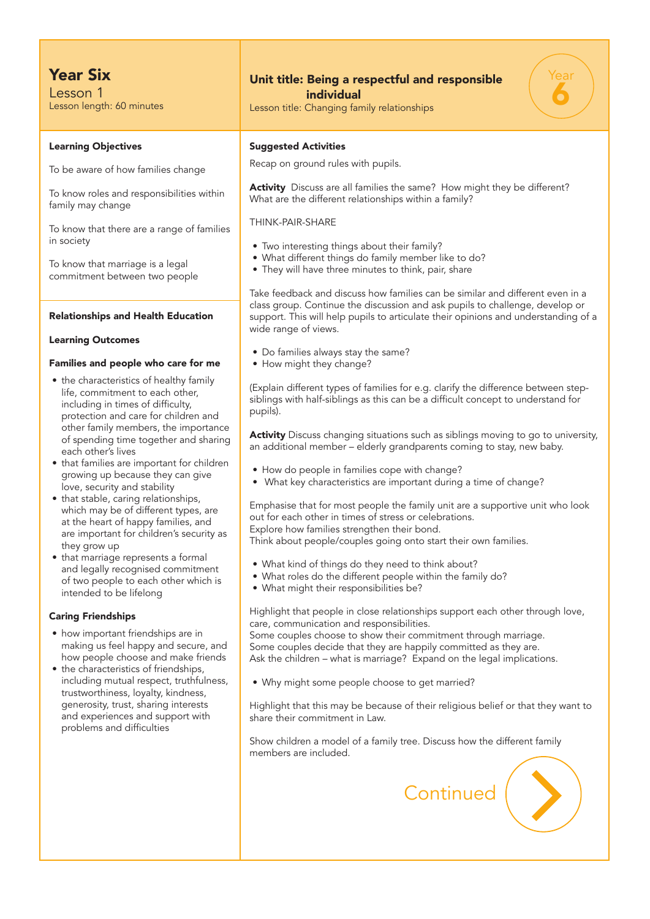## Year Six

Lesson 1 Lesson length: 60 minutes

#### Learning Objectives

To be aware of how families change

To know roles and responsibilities within family may change

To know that there are a range of families in society

To know that marriage is a legal commitment between two people

#### Relationships and Health Education

#### Learning Outcomes

#### Families and people who care for me

- the characteristics of healthy family life, commitment to each other, including in times of difficulty, protection and care for children and other family members, the importance of spending time together and sharing each other's lives
- that families are important for children growing up because they can give love, security and stability
- that stable, caring relationships, which may be of different types, are at the heart of happy families, and are important for children's security as they grow up
- that marriage represents a formal and legally recognised commitment of two people to each other which is intended to be lifelong

#### Caring Friendships

- how important friendships are in making us feel happy and secure, and how people choose and make friends
- the characteristics of friendships, including mutual respect, truthfulness, trustworthiness, loyalty, kindness, generosity, trust, sharing interests and experiences and support with problems and difficulties

### Unit title: Being a respectful and responsible individual

Lesson title: Changing family relationships

# Year 6

#### Suggested Activities

Recap on ground rules with pupils.

Activity Discuss are all families the same? How might they be different? What are the different relationships within a family?

THINK-PAIR-SHARE

- Two interesting things about their family?
- What different things do family member like to do?
- They will have three minutes to think, pair, share

Take feedback and discuss how families can be similar and different even in a class group. Continue the discussion and ask pupils to challenge, develop or support. This will help pupils to articulate their opinions and understanding of a wide range of views.

- Do families always stay the same?
- How might they change?

(Explain different types of families for e.g. clarify the difference between stepsiblings with half-siblings as this can be a difficult concept to understand for pupils).

Activity Discuss changing situations such as siblings moving to go to university, an additional member – elderly grandparents coming to stay, new baby.

- How do people in families cope with change?
- What key characteristics are important during a time of change?

Emphasise that for most people the family unit are a supportive unit who look out for each other in times of stress or celebrations. Explore how families strengthen their bond. Think about people/couples going onto start their own families.

- What kind of things do they need to think about?
- What roles do the different people within the family do?
- What might their responsibilities be?

Highlight that people in close relationships support each other through love, care, communication and responsibilities.

Some couples choose to show their commitment through marriage. Some couples decide that they are happily committed as they are. Ask the children – what is marriage? Expand on the legal implications.

• Why might some people choose to get married?

Highlight that this may be because of their religious belief or that they want to share their commitment in Law.

Show children a model of a family tree. Discuss how the different family members are included.